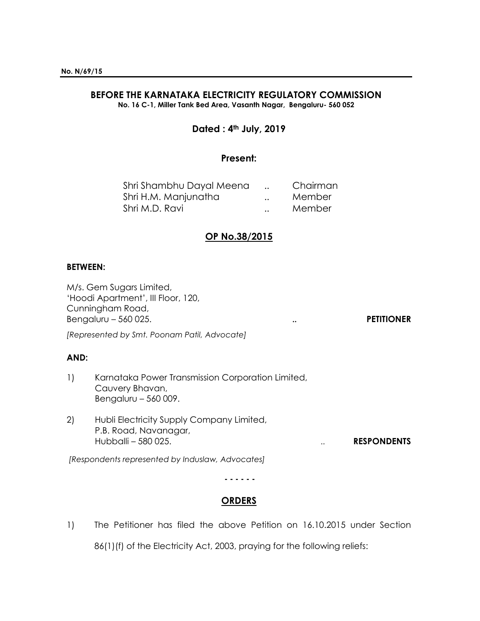# **BEFORE THE KARNATAKA ELECTRICITY REGULATORY COMMISSION**

**No. 16 C-1, Miller Tank Bed Area, Vasanth Nagar, Bengaluru- 560 052**

# **Dated : 4th July, 2019**

# **Present:**

| Shri Shambhu Dayal Meena |                      | Chairman |
|--------------------------|----------------------|----------|
| Shri H.M. Manjunatha     | $\ddot{\phantom{a}}$ | Member   |
| Shri M.D. Ravi           | $\ddot{\phantom{a}}$ | Member   |

# **OP No.38/2015**

#### **BETWEEN:**

M/s. Gem Sugars Limited, 'Hoodi Apartment', III Floor, 120, Cunningham Road, Bengaluru – 560 025. **.. PETITIONER**

*[Represented by Smt. Poonam Patil, Advocate]*

#### **AND:**

- 1) Karnataka Power Transmission Corporation Limited, Cauvery Bhavan, Bengaluru – 560 009.
- 2) Hubli Electricity Supply Company Limited, P.B. Road, Navanagar, Hubballi – 580 025. .. **RESPONDENTS**

*[Respondents represented by Induslaw, Advocates]*

**- - - - - -**

# **ORDERS**

1) The Petitioner has filed the above Petition on 16.10.2015 under Section

86(1)(f) of the Electricity Act, 2003, praying for the following reliefs: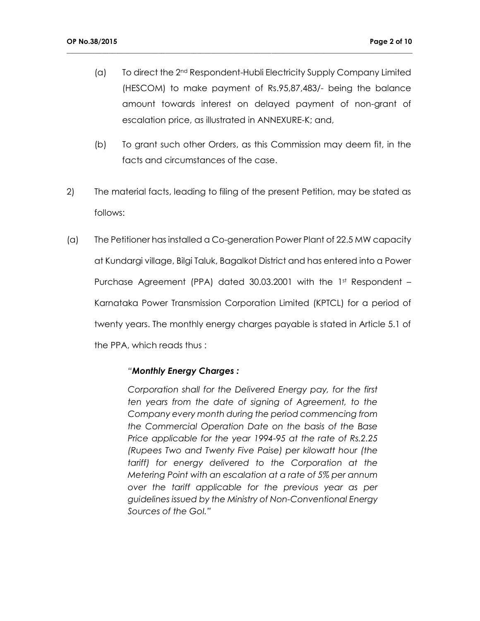(a) To direct the 2nd Respondent-Hubli Electricity Supply Company Limited (HESCOM) to make payment of Rs.95,87,483/- being the balance amount towards interest on delayed payment of non-grant of escalation price, as illustrated in ANNEXURE-K; and,

**\_\_\_\_\_\_\_\_\_\_\_\_\_\_\_\_\_\_\_\_\_\_\_\_\_\_\_\_\_\_\_\_\_\_\_\_\_\_\_\_\_\_\_\_\_\_\_\_\_\_\_\_\_\_\_\_\_\_\_\_\_\_\_\_\_\_\_\_\_\_\_\_\_\_\_\_\_\_\_\_\_\_\_\_\_\_\_\_\_\_\_\_\_\_\_\_\_\_**

- (b) To grant such other Orders, as this Commission may deem fit, in the facts and circumstances of the case.
- 2) The material facts, leading to filing of the present Petition, may be stated as follows:
- (a) The Petitioner has installed a Co-generation Power Plant of 22.5 MW capacity at Kundargi village, Bilgi Taluk, Bagalkot District and has entered into a Power Purchase Agreement (PPA) dated 30.03.2001 with the  $1<sup>st</sup>$  Respondent – Karnataka Power Transmission Corporation Limited (KPTCL) for a period of twenty years. The monthly energy charges payable is stated in Article 5.1 of the PPA, which reads thus :

#### *"Monthly Energy Charges :*

*Corporation shall for the Delivered Energy pay, for the first ten years from the date of signing of Agreement, to the Company every month during the period commencing from the Commercial Operation Date on the basis of the Base Price applicable for the year 1994-95 at the rate of Rs.2.25 (Rupees Two and Twenty Five Paise) per kilowatt hour (the tariff) for energy delivered to the Corporation at the Metering Point with an escalation at a rate of 5% per annum over the tariff applicable for the previous year as per guidelines issued by the Ministry of Non-Conventional Energy Sources of the GoI."*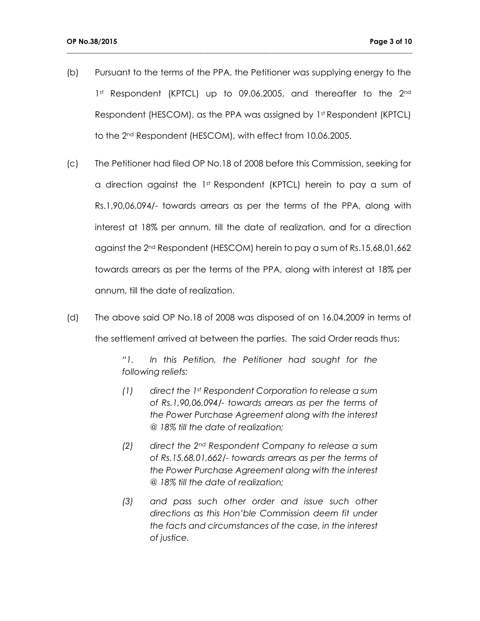(b) Pursuant to the terms of the PPA, the Petitioner was supplying energy to the 1st Respondent (KPTCL) up to 09.06.2005, and thereafter to the 2nd Respondent (HESCOM), as the PPA was assigned by 1st Respondent (KPTCL) to the 2nd Respondent (HESCOM), with effect from 10.06.2005.

**\_\_\_\_\_\_\_\_\_\_\_\_\_\_\_\_\_\_\_\_\_\_\_\_\_\_\_\_\_\_\_\_\_\_\_\_\_\_\_\_\_\_\_\_\_\_\_\_\_\_\_\_\_\_\_\_\_\_\_\_\_\_\_\_\_\_\_\_\_\_\_\_\_\_\_\_\_\_\_\_\_\_\_\_\_\_\_\_\_\_\_\_\_\_\_\_\_\_**

- (c) The Petitioner had filed OP No.18 of 2008 before this Commission, seeking for a direction against the  $1<sup>st</sup>$  Respondent (KPTCL) herein to pay a sum of Rs.1,90,06,094/- towards arrears as per the terms of the PPA, along with interest at 18% per annum, till the date of realization, and for a direction against the 2nd Respondent (HESCOM) herein to pay a sum of Rs.15,68,01,662 towards arrears as per the terms of the PPA, along with interest at 18% per annum, till the date of realization.
- (d) The above said OP No.18 of 2008 was disposed of on 16.04.2009 in terms of the settlement arrived at between the parties. The said Order reads thus:

*"1. In this Petition, the Petitioner had sought for the following reliefs:*

- *(1) direct the 1st Respondent Corporation to release a sum of Rs.1,90,06,094/- towards arrears as per the terms of the Power Purchase Agreement along with the interest @ 18% till the date of realization;*
- *(2) direct the 2nd Respondent Company to release a sum of Rs.15,68,01,662/- towards arrears as per the terms of the Power Purchase Agreement along with the interest @ 18% till the date of realization;*
- *(3) and pass such other order and issue such other directions as this Hon'ble Commission deem fit under the facts and circumstances of the case, in the interest of justice.*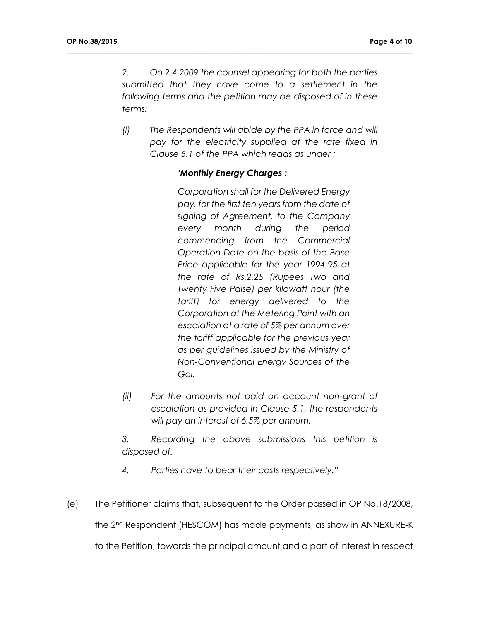*2. On 2.4.2009 the counsel appearing for both the parties submitted that they have come to a settlement in the following terms and the petition may be disposed of in these terms:*

**\_\_\_\_\_\_\_\_\_\_\_\_\_\_\_\_\_\_\_\_\_\_\_\_\_\_\_\_\_\_\_\_\_\_\_\_\_\_\_\_\_\_\_\_\_\_\_\_\_\_\_\_\_\_\_\_\_\_\_\_\_\_\_\_\_\_\_\_\_\_\_\_\_\_\_\_\_\_\_\_\_\_\_\_\_\_\_\_\_\_\_\_\_\_\_\_\_\_**

*(i) The Respondents will abide by the PPA in force and will pay for the electricity supplied at the rate fixed in Clause 5.1 of the PPA which reads as under :*

## *'Monthly Energy Charges :*

*Corporation shall for the Delivered Energy pay, for the first ten years from the date of signing of Agreement, to the Company every month during the period commencing from the Commercial Operation Date on the basis of the Base Price applicable for the year 1994-95 at the rate of Rs.2.25 (Rupees Two and Twenty Five Paise) per kilowatt hour (the tariff) for energy delivered to the Corporation at the Metering Point with an escalation at a rate of 5% per annum over the tariff applicable for the previous year as per guidelines issued by the Ministry of Non-Conventional Energy Sources of the GoI.'*

*(ii) For the amounts not paid on account non-grant of escalation as provided in Clause 5.1, the respondents will pay an interest of 6.5% per annum.*

*3. Recording the above submissions this petition is disposed of.*

*4. Parties have to bear their costs respectively."*

(e) The Petitioner claims that, subsequent to the Order passed in OP No.18/2008,

the 2nd Respondent (HESCOM) has made payments, as show in ANNEXURE-K

to the Petition, towards the principal amount and a part of interest in respect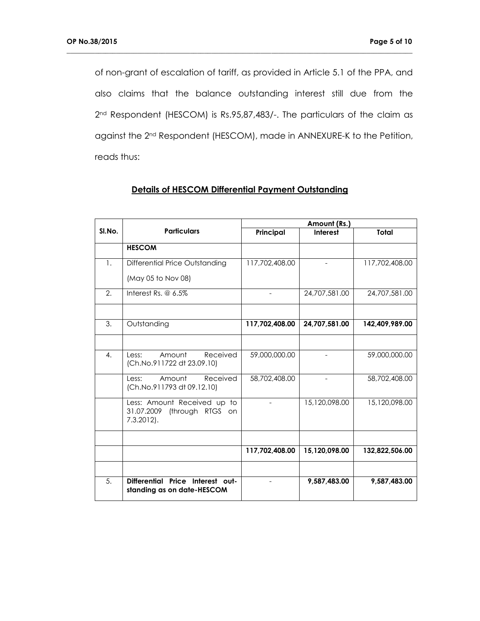of non-grant of escalation of tariff, as provided in Article 5.1 of the PPA, and also claims that the balance outstanding interest still due from the 2<sup>nd</sup> Respondent (HESCOM) is Rs.95,87,483/-. The particulars of the claim as against the 2nd Respondent (HESCOM), made in ANNEXURE-K to the Petition, reads thus:

**\_\_\_\_\_\_\_\_\_\_\_\_\_\_\_\_\_\_\_\_\_\_\_\_\_\_\_\_\_\_\_\_\_\_\_\_\_\_\_\_\_\_\_\_\_\_\_\_\_\_\_\_\_\_\_\_\_\_\_\_\_\_\_\_\_\_\_\_\_\_\_\_\_\_\_\_\_\_\_\_\_\_\_\_\_\_\_\_\_\_\_\_\_\_\_\_\_\_**

|        | <b>Particulars</b>                                                         | Amount (Rs.)   |                          |                |
|--------|----------------------------------------------------------------------------|----------------|--------------------------|----------------|
| SI.No. |                                                                            | Principal      | <b>Interest</b>          | Total          |
|        | <b>HESCOM</b>                                                              |                |                          |                |
| 1.     | Differential Price Outstanding                                             | 117,702,408.00 |                          | 117,702,408.00 |
|        | (May 05 to Nov 08)                                                         |                |                          |                |
| 2.     | Interest Rs. $@6.5\%$                                                      |                | 24,707,581.00            | 24,707,581,00  |
|        |                                                                            |                |                          |                |
| 3.     | Outstanding                                                                | 117,702,408.00 | 24,707,581.00            | 142,409,989.00 |
|        |                                                                            |                |                          |                |
| 4.     | Received<br>Amount<br>Less:<br>(Ch.No.911722 dt 23.09.10)                  | 59,000,000.00  | $\overline{\phantom{a}}$ | 59,000,000.00  |
|        | Received<br>Amount<br>Less:<br>(Ch.No.911793 dt 09.12.10)                  | 58,702,408.00  |                          | 58,702,408.00  |
|        | Less: Amount Received up to<br>31.07.2009 (through RTGS on<br>$7.3.2012$ . |                | 15,120,098.00            | 15,120,098.00  |
|        |                                                                            |                |                          |                |
|        |                                                                            | 117,702,408.00 | 15,120,098.00            | 132,822,506.00 |
|        |                                                                            |                |                          |                |
| 5.     | Differential Price Interest out-<br>standing as on date-HESCOM             |                | 9,587,483.00             | 9,587,483.00   |

# **Details of HESCOM Differential Payment Outstanding**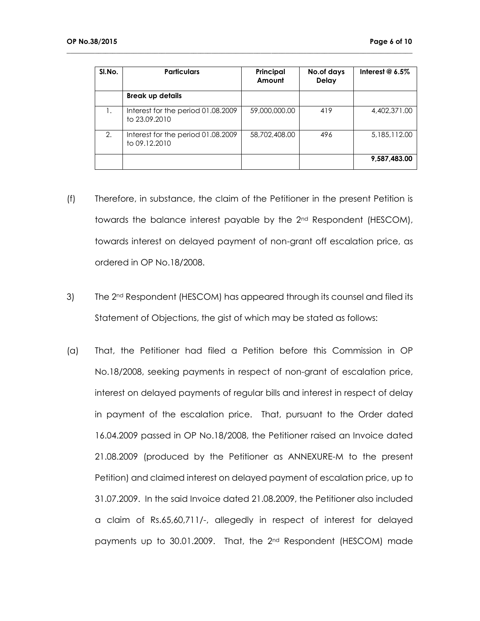| SI.No. | <b>Particulars</b>                                  | Principal<br>Amount | No.of days<br><b>Delay</b> | Interest $@$ 6.5% |
|--------|-----------------------------------------------------|---------------------|----------------------------|-------------------|
|        | <b>Break up details</b>                             |                     |                            |                   |
| 1.     | Interest for the period 01.08.2009<br>to 23.09.2010 | 59,000,000.00       | 419                        | 4,402,371,00      |
| 2.     | Interest for the period 01.08.2009<br>to 09.12.2010 | 58,702,408,00       | 496                        | 5,185,112.00      |
|        |                                                     |                     |                            | 9,587,483.00      |

- (f) Therefore, in substance, the claim of the Petitioner in the present Petition is towards the balance interest payable by the 2nd Respondent (HESCOM), towards interest on delayed payment of non-grant off escalation price, as ordered in OP No.18/2008.
- 3) The 2<sup>nd</sup> Respondent (HESCOM) has appeared through its counsel and filed its Statement of Objections, the gist of which may be stated as follows:
- (a) That, the Petitioner had filed a Petition before this Commission in OP No.18/2008, seeking payments in respect of non-grant of escalation price, interest on delayed payments of regular bills and interest in respect of delay in payment of the escalation price. That, pursuant to the Order dated 16.04.2009 passed in OP No.18/2008, the Petitioner raised an Invoice dated 21.08.2009 (produced by the Petitioner as ANNEXURE-M to the present Petition) and claimed interest on delayed payment of escalation price, up to 31.07.2009. In the said Invoice dated 21.08.2009, the Petitioner also included a claim of Rs.65,60,711/-, allegedly in respect of interest for delayed payments up to 30.01.2009. That, the 2nd Respondent (HESCOM) made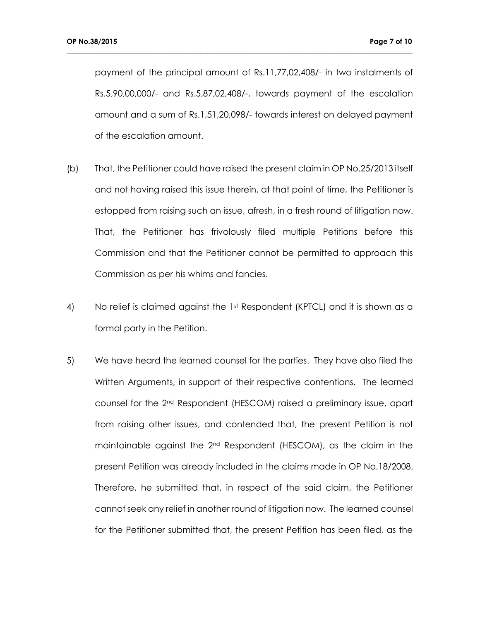payment of the principal amount of Rs.11,77,02,408/- in two instalments of Rs.5,90,00,000/- and Rs.5,87,02,408/-, towards payment of the escalation amount and a sum of Rs.1,51,20,098/- towards interest on delayed payment of the escalation amount.

- (b) That, the Petitioner could have raised the present claim in OP No.25/2013 itself and not having raised this issue therein, at that point of time, the Petitioner is estopped from raising such an issue, afresh, in a fresh round of litigation now. That, the Petitioner has frivolously filed multiple Petitions before this Commission and that the Petitioner cannot be permitted to approach this Commission as per his whims and fancies.
- 4) No relief is claimed against the 1st Respondent (KPTCL) and it is shown as a formal party in the Petition.
- 5) We have heard the learned counsel for the parties. They have also filed the Written Arguments, in support of their respective contentions. The learned counsel for the 2nd Respondent (HESCOM) raised a preliminary issue, apart from raising other issues, and contended that, the present Petition is not maintainable against the 2nd Respondent (HESCOM), as the claim in the present Petition was already included in the claims made in OP No.18/2008. Therefore, he submitted that, in respect of the said claim, the Petitioner cannot seek any relief in another round of litigation now. The learned counsel for the Petitioner submitted that, the present Petition has been filed, as the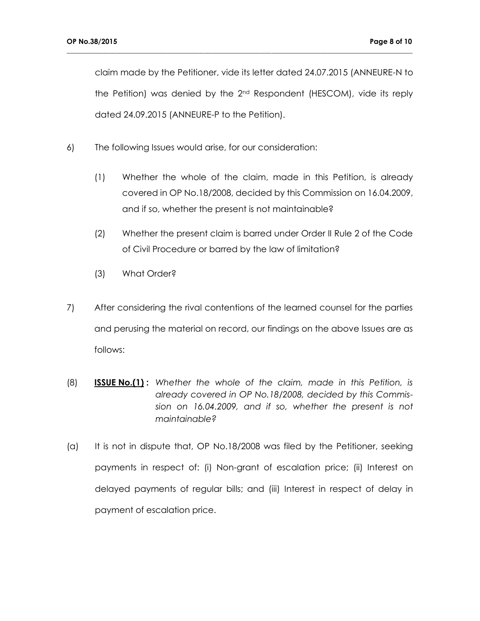claim made by the Petitioner, vide its letter dated 24.07.2015 (ANNEURE-N to the Petition) was denied by the 2nd Respondent (HESCOM), vide its reply dated 24.09.2015 (ANNEURE-P to the Petition).

- 6) The following Issues would arise, for our consideration:
	- (1) Whether the whole of the claim, made in this Petition, is already covered in OP No.18/2008, decided by this Commission on 16.04.2009, and if so, whether the present is not maintainable?
	- (2) Whether the present claim is barred under Order II Rule 2 of the Code of Civil Procedure or barred by the law of limitation?
	- (3) What Order?
- 7) After considering the rival contentions of the learned counsel for the parties and perusing the material on record, our findings on the above Issues are as follows:
- (8) **ISSUE No.(1) :** *Whether the whole of the claim, made in this Petition, is already covered in OP No.18/2008, decided by this Commission on 16.04.2009, and if so, whether the present is not maintainable?*
- (a) It is not in dispute that, OP No.18/2008 was filed by the Petitioner, seeking payments in respect of: (i) Non-grant of escalation price; (ii) Interest on delayed payments of regular bills; and (iii) Interest in respect of delay in payment of escalation price.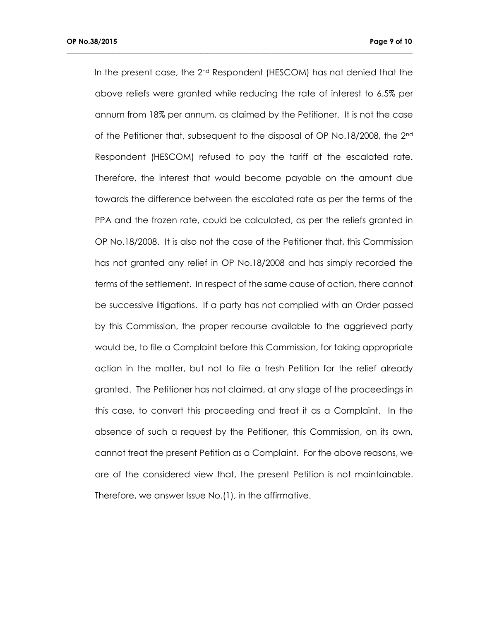In the present case, the 2<sup>nd</sup> Respondent (HESCOM) has not denied that the above reliefs were granted while reducing the rate of interest to 6.5% per annum from 18% per annum, as claimed by the Petitioner. It is not the case of the Petitioner that, subsequent to the disposal of OP No.18/2008, the 2nd Respondent (HESCOM) refused to pay the tariff at the escalated rate. Therefore, the interest that would become payable on the amount due towards the difference between the escalated rate as per the terms of the PPA and the frozen rate, could be calculated, as per the reliefs granted in OP No.18/2008. It is also not the case of the Petitioner that, this Commission has not granted any relief in OP No.18/2008 and has simply recorded the terms of the settlement. In respect of the same cause of action, there cannot be successive litigations. If a party has not complied with an Order passed by this Commission, the proper recourse available to the aggrieved party would be, to file a Complaint before this Commission, for taking appropriate action in the matter, but not to file a fresh Petition for the relief already granted. The Petitioner has not claimed, at any stage of the proceedings in this case, to convert this proceeding and treat it as a Complaint. In the absence of such a request by the Petitioner, this Commission, on its own, cannot treat the present Petition as a Complaint. For the above reasons, we are of the considered view that, the present Petition is not maintainable. Therefore, we answer Issue No.(1), in the affirmative.